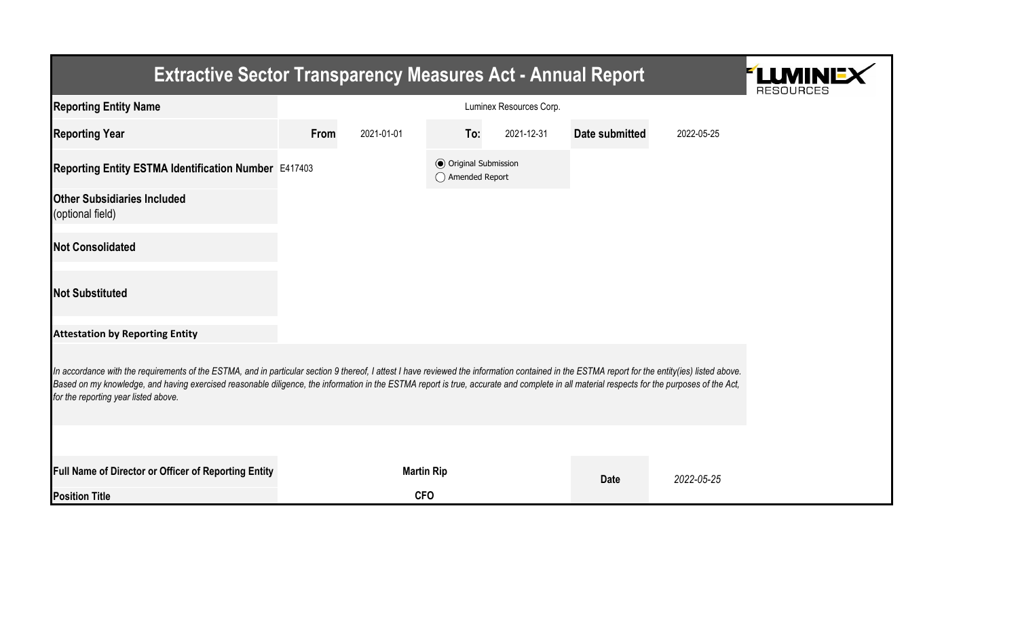| <b>Extractive Sector Transparency Measures Act - Annual Report</b>                                                                                                                                                                                                                                                                                                                                                                    | LLM<br><b>RESOURCES</b> |                   |                                                  |            |                |            |  |  |  |  |
|---------------------------------------------------------------------------------------------------------------------------------------------------------------------------------------------------------------------------------------------------------------------------------------------------------------------------------------------------------------------------------------------------------------------------------------|-------------------------|-------------------|--------------------------------------------------|------------|----------------|------------|--|--|--|--|
| <b>Reporting Entity Name</b>                                                                                                                                                                                                                                                                                                                                                                                                          |                         |                   |                                                  |            |                |            |  |  |  |  |
| <b>Reporting Year</b>                                                                                                                                                                                                                                                                                                                                                                                                                 | From                    | 2021-01-01        | To:                                              | 2021-12-31 | Date submitted | 2022-05-25 |  |  |  |  |
| Reporting Entity ESTMA Identification Number E417403                                                                                                                                                                                                                                                                                                                                                                                  |                         |                   | <b>⊙</b> Original Submission<br>◯ Amended Report |            |                |            |  |  |  |  |
| <b>Other Subsidiaries Included</b><br>(optional field)                                                                                                                                                                                                                                                                                                                                                                                |                         |                   |                                                  |            |                |            |  |  |  |  |
| <b>Not Consolidated</b>                                                                                                                                                                                                                                                                                                                                                                                                               |                         |                   |                                                  |            |                |            |  |  |  |  |
| <b>Not Substituted</b>                                                                                                                                                                                                                                                                                                                                                                                                                |                         |                   |                                                  |            |                |            |  |  |  |  |
| <b>Attestation by Reporting Entity</b>                                                                                                                                                                                                                                                                                                                                                                                                |                         |                   |                                                  |            |                |            |  |  |  |  |
| In accordance with the requirements of the ESTMA, and in particular section 9 thereof, I attest I have reviewed the information contained in the ESTMA report for the entity(ies) listed above.<br>Based on my knowledge, and having exercised reasonable diligence, the information in the ESTMA report is true, accurate and complete in all material respects for the purposes of the Act,<br>for the reporting year listed above. |                         |                   |                                                  |            |                |            |  |  |  |  |
|                                                                                                                                                                                                                                                                                                                                                                                                                                       |                         |                   |                                                  |            |                |            |  |  |  |  |
| Full Name of Director or Officer of Reporting Entity                                                                                                                                                                                                                                                                                                                                                                                  |                         | <b>Martin Rip</b> |                                                  |            | <b>Date</b>    | 2022-05-25 |  |  |  |  |
| <b>Position Title</b>                                                                                                                                                                                                                                                                                                                                                                                                                 |                         | <b>CFO</b>        |                                                  |            |                |            |  |  |  |  |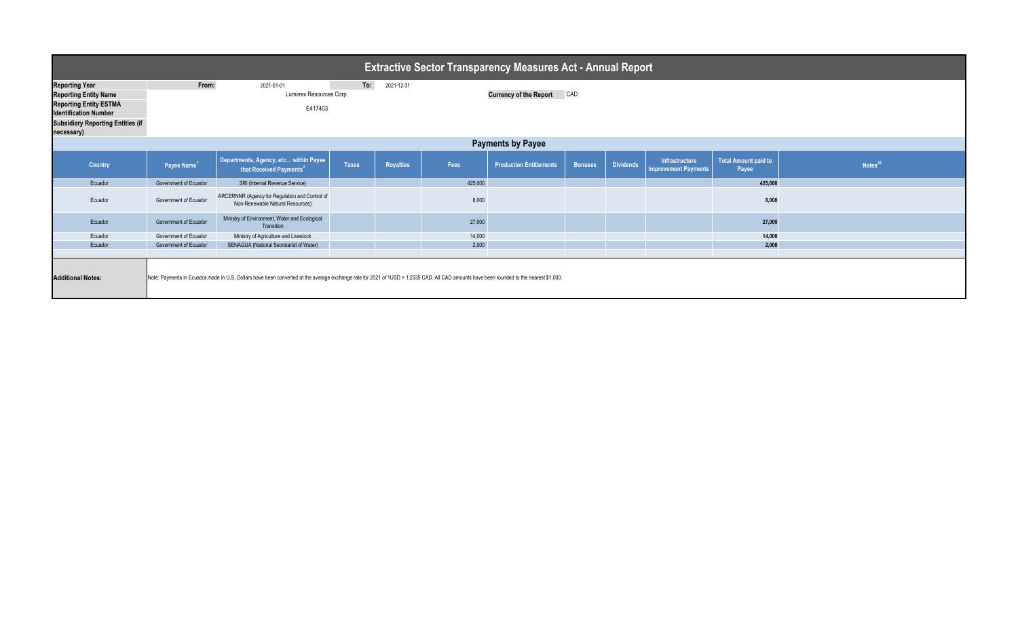| <b>Extractive Sector Transparency Measures Act - Annual Report</b>                                                                                                                                                   |                                                                                                         |                                                                                    |              |                  |         |                                |                |                  |                                               |                                      |                     |  |
|----------------------------------------------------------------------------------------------------------------------------------------------------------------------------------------------------------------------|---------------------------------------------------------------------------------------------------------|------------------------------------------------------------------------------------|--------------|------------------|---------|--------------------------------|----------------|------------------|-----------------------------------------------|--------------------------------------|---------------------|--|
| <b>Reporting Year</b>                                                                                                                                                                                                | To:<br>From:<br>2021-12-31<br>2021-01-01                                                                |                                                                                    |              |                  |         |                                |                |                  |                                               |                                      |                     |  |
| <b>Reporting Entity Name</b>                                                                                                                                                                                         | CAD<br>Luminex Resources Corp.<br><b>Currency of the Report</b>                                         |                                                                                    |              |                  |         |                                |                |                  |                                               |                                      |                     |  |
| <b>Reporting Entity ESTMA</b><br><b>Identification Number</b>                                                                                                                                                        |                                                                                                         | E417403                                                                            |              |                  |         |                                |                |                  |                                               |                                      |                     |  |
| <b>Subsidiary Reporting Entities (if</b><br>necessary)                                                                                                                                                               |                                                                                                         |                                                                                    |              |                  |         |                                |                |                  |                                               |                                      |                     |  |
| <b>Payments by Payee</b>                                                                                                                                                                                             |                                                                                                         |                                                                                    |              |                  |         |                                |                |                  |                                               |                                      |                     |  |
| <b>Country</b>                                                                                                                                                                                                       | Departments, Agency, etc within Payee<br>Payee Name <sup>1</sup><br>that Received Payments <sup>2</sup> |                                                                                    | <b>Taxes</b> | <b>Royalties</b> | Fees    | <b>Production Entitlements</b> | <b>Bonuses</b> | <b>Dividends</b> | Infrastructure<br><b>Improvement Payments</b> | <b>Total Amount paid to</b><br>Payee | Notes <sup>34</sup> |  |
| Ecuador                                                                                                                                                                                                              | Government of Ecuador                                                                                   | SRI (Internal Revenue Service)                                                     |              |                  | 425,000 |                                |                |                  |                                               | 425,000                              |                     |  |
| Ecuador                                                                                                                                                                                                              | Government of Ecuador                                                                                   | ARCERNNR (Agency for Regulation and Control of<br>Non-Renewable Natural Resources) |              |                  | 8,000   |                                |                |                  |                                               | 8,000                                |                     |  |
| Ecuador                                                                                                                                                                                                              | Government of Ecuador                                                                                   | Ministry of Environment, Water and Ecological<br>Transition                        |              |                  | 27,000  |                                |                |                  |                                               | 27,000                               |                     |  |
| Ecuador                                                                                                                                                                                                              | Government of Ecuador                                                                                   | Ministry of Agriculture and Livestock                                              |              |                  | 14,000  |                                |                |                  |                                               | 14,000                               |                     |  |
| Ecuador                                                                                                                                                                                                              | Government of Ecuador                                                                                   | SENAGUA (National Secretariat of Water)                                            |              |                  | 2,000   |                                |                |                  |                                               | 2,000                                |                     |  |
| Note: Payments in Ecuador made in U.S. Dollars have been converted at the average exchange rate for 2021 of 1USD = 1.2535 CAD. All CAD amounts have been rounded to the nearest \$1,000.<br><b>Additional Notes:</b> |                                                                                                         |                                                                                    |              |                  |         |                                |                |                  |                                               |                                      |                     |  |